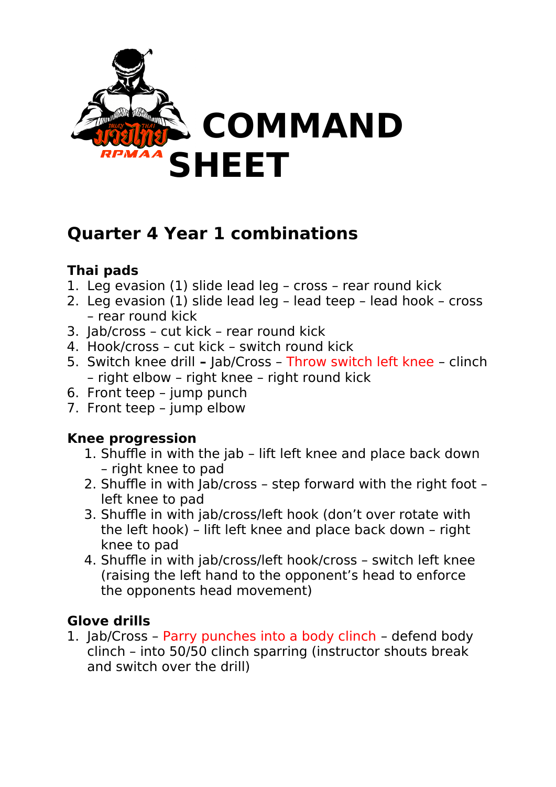

## **Quarter 4 Year 1 combinations**

## **Thai pads**

- 1. Leg evasion (1) slide lead leg cross rear round kick
- 2. Leg evasion (1) slide lead leg lead teep lead hook cross – rear round kick
- 3. Jab/cross cut kick rear round kick
- 4. Hook/cross cut kick switch round kick
- 5. Switch knee drillJab/Cross Throw switch left knee clinch – right elbow – right knee – right round kick
- 6. Front teep jump punch
- 7. Front teep jump elbow

## **Knee progression**

- 1. Shuffle in with the jab lift left knee and place back down – right knee to pad
- 2. Shuffle in with Jab/cross step forward with the right foot left knee to pad
- 3. Shuffle in with jab/cross/left hook (don't over rotate with the left hook) – lift left knee and place back down – right knee to pad
- 4. Shuffle in with jab/cross/left hook/cross switch left knee (raising the left hand to the opponent's head to enforce the opponents head movement)

## **Glove drills**

1. Jab/Cross – Parry punches into a body clinch – defend body clinch – into 50/50 clinch sparring (instructor shouts break and switch over the drill)